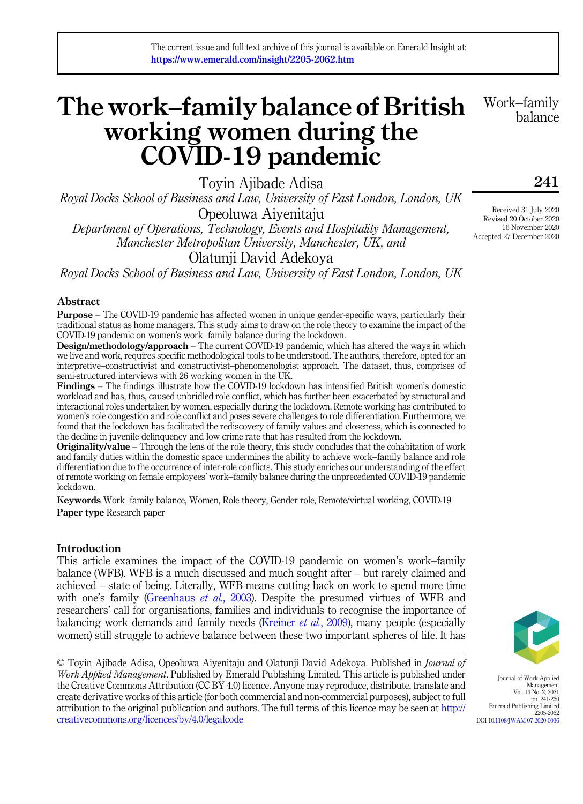# The work–family balance of British working women during the COVID-19 pandemic

Toyin Ajibade Adisa

Royal Docks School of Business and Law, University of East London, London, UK Opeoluwa Aiyenitaju

Department of Operations, Technology, Events and Hospitality Management, Manchester Metropolitan University, Manchester, UK, and

Olatunji David Adekoya

Royal Docks School of Business and Law, University of East London, London, UK

# Abstract

Purpose – The COVID-19 pandemic has affected women in unique gender-specific ways, particularly their traditional status as home managers. This study aims to draw on the role theory to examine the impact of the COVID-19 pandemic on women's work–family balance during the lockdown.

Design/methodology/approach – The current COVID-19 pandemic, which has altered the ways in which we live and work, requires specific methodological tools to be understood. The authors, therefore, opted for an interpretive–constructivist and constructivist–phenomenologist approach. The dataset, thus, comprises of semi-structured interviews with 26 working women in the UK.

Findings – The findings illustrate how the COVID-19 lockdown has intensified British women's domestic workload and has, thus, caused unbridled role conflict, which has further been exacerbated by structural and interactional roles undertaken by women, especially during the lockdown. Remote working has contributed to women's role congestion and role conflict and poses severe challenges to role differentiation. Furthermore, we found that the lockdown has facilitated the rediscovery of family values and closeness, which is connected to the decline in juvenile delinquency and low crime rate that has resulted from the lockdown.

Originality/value – Through the lens of the role theory, this study concludes that the cohabitation of work and family duties within the domestic space undermines the ability to achieve work–family balance and role differentiation due to the occurrence of inter-role conflicts. This study enriches our understanding of the effect of remote working on female employees' work–family balance during the unprecedented COVID-19 pandemic lockdown.

Keywords Work–family balance, Women, Role theory, Gender role, Remote/virtual working, COVID-19 Paper type Research paper

# Introduction

This article examines the impact of the COVID-19 pandemic on women's work–family balance (WFB). WFB is a much discussed and much sought after – but rarely claimed and achieved – state of being. Literally, WFB means cutting back on work to spend more time with one's family [\(Greenhaus](#page-16-0) *et al.*, 2003). Despite the presumed virtues of WFB and researchers' call for organisations, families and individuals to recognise the importance of balancing work demands and family needs ([Kreiner](#page-16-1)  $et al$ , 2009), many people (especially women) still struggle to achieve balance between these two important spheres of life. It has

Journal of Work-Applied Management Vol. 13 No. 2, 2021 pp. 241-260 Emerald Publishing Limited 2205-2062 DOI [10.1108/JWAM-07-2020-0036](https://doi.org/10.1108/JWAM-07-2020-0036)

Received 31 July 2020 Revised 20 October 2020 16 November 2020 Accepted 27 December 2020

241

Work–family balance

<sup>©</sup> Toyin Ajibade Adisa, Opeoluwa Aiyenitaju and Olatunji David Adekoya. Published in Journal of Work-Applied Management. Published by Emerald Publishing Limited. This article is published under the Creative Commons Attribution (CC BY 4.0) licence. Anyone may reproduce, distribute, translate and create derivative works of this article (for both commercial and non-commercial purposes), subject to full attribution to the original publication and authors. The full terms of this licence may be seen at [http://](http://creativecommons.org/licences/by/4.0/legalcode) [creativecommons.org/licences/by/4.0/legalcode](http://creativecommons.org/licences/by/4.0/legalcode)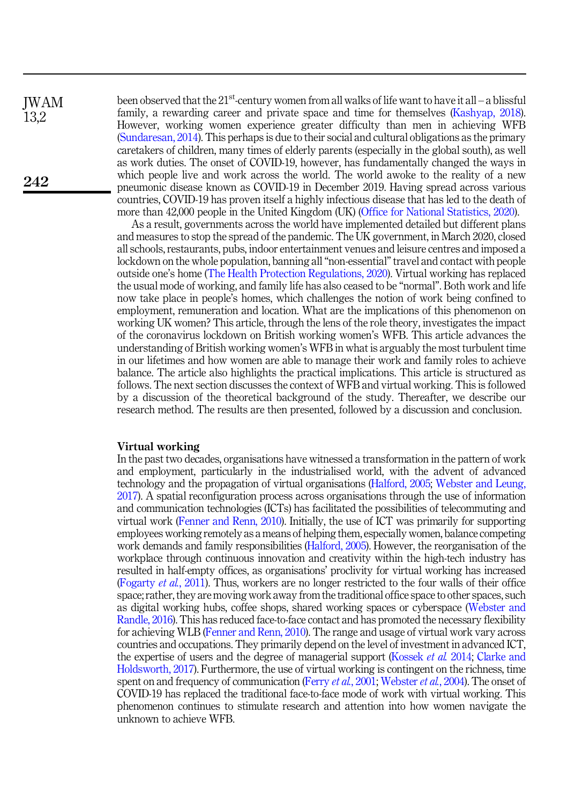been observed that the  $21^{st}$ -century women from all walks of life want to have it all – a blissful family, a rewarding career and private space and time for themselves [\(Kashyap, 2018\)](#page-16-2). However, working women experience greater difficulty than men in achieving WFB ([Sundaresan, 2014\)](#page-18-0). This perhaps is due to their social and cultural obligations as the primary caretakers of children, many times of elderly parents (especially in the global south), as well as work duties. The onset of COVID-19, however, has fundamentally changed the ways in which people live and work across the world. The world awoke to the reality of a new pneumonic disease known as COVID-19 in December 2019. Having spread across various countries, COVID-19 has proven itself a highly infectious disease that has led to the death of more than 42,000 people in the United Kingdom (UK) ([Office for National Statistics, 2020](#page-17-0)).

As a result, governments across the world have implemented detailed but different plans and measures to stop the spread of the pandemic. The UK government, in March 2020, closed all schools, restaurants, pubs, indoor entertainment venues and leisure centres and imposed a lockdown on the whole population, banning all "non-essential" travel and contact with people outside one's home [\(The Health Protection Regulations, 2020](#page-18-1)). Virtual working has replaced the usual mode of working, and family life has also ceased to be "normal". Both work and life now take place in people's homes, which challenges the notion of work being confined to employment, remuneration and location. What are the implications of this phenomenon on working UK women? This article, through the lens of the role theory, investigates the impact of the coronavirus lockdown on British working women's WFB. This article advances the understanding of British working women's WFB in what is arguably the most turbulent time in our lifetimes and how women are able to manage their work and family roles to achieve balance. The article also highlights the practical implications. This article is structured as follows. The next section discusses the context of WFB and virtual working. This is followed by a discussion of the theoretical background of the study. Thereafter, we describe our research method. The results are then presented, followed by a discussion and conclusion.

#### Virtual working

In the past two decades, organisations have witnessed a transformation in the pattern of work and employment, particularly in the industrialised world, with the advent of advanced technology and the propagation of virtual organisations [\(Halford, 2005](#page-16-3); [Webster and Leung,](#page-18-2) [2017\)](#page-18-2). A spatial reconfiguration process across organisations through the use of information and communication technologies (ICTs) has facilitated the possibilities of telecommuting and virtual work [\(Fenner and Renn, 2010](#page-15-0)). Initially, the use of ICT was primarily for supporting employees working remotely as a means of helping them, especially women, balance competing work demands and family responsibilities [\(Halford, 2005\)](#page-16-3). However, the reorganisation of the workplace through continuous innovation and creativity within the high-tech industry has resulted in half-empty offices, as organisations' proclivity for virtual working has increased [\(Fogarty](#page-16-4) et al., 2011). Thus, workers are no longer restricted to the four walls of their office space; rather, they are moving work away from the traditional office space to other spaces, such as digital working hubs, coffee shops, shared working spaces or cyberspace [\(Webster and](#page-18-3) [Randle, 2016](#page-18-3)). This has reduced face-to-face contact and has promoted the necessary flexibility for achieving WLB [\(Fenner and Renn, 2010\)](#page-15-0). The range and usage of virtual work vary across countries and occupations. They primarily depend on the level of investment in advanced ICT, the expertise of users and the degree of managerial support [\(Kossek](#page-16-5) et al. 2014; [Clarke and](#page-15-1) [Holdsworth, 2017](#page-15-1)). Furthermore, the use of virtual working is contingent on the richness, time spent on and frequency of communication [\(Ferry](#page-15-2) *et al.*, 2001; [Webster](#page-18-4) *et al.*, 2004). The onset of COVID-19 has replaced the traditional face-to-face mode of work with virtual working. This phenomenon continues to stimulate research and attention into how women navigate the unknown to achieve WFB.

JWAM 13,2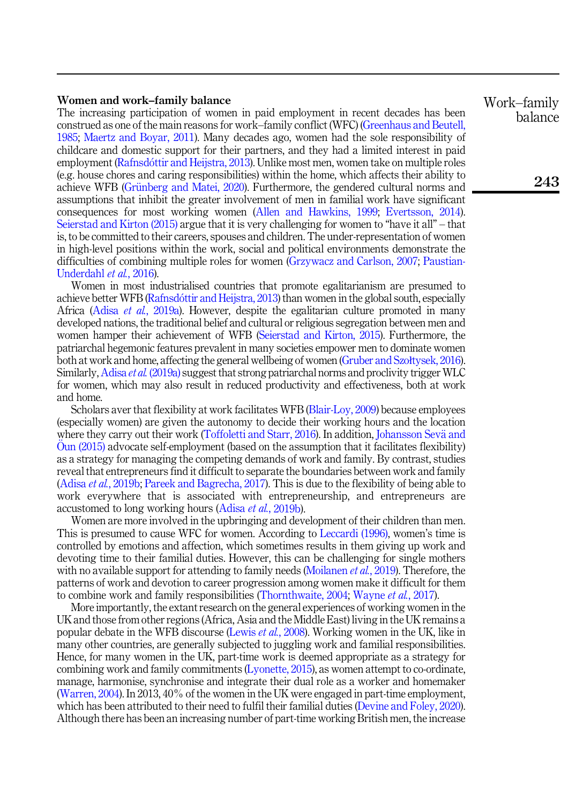# Women and work–family balance

The increasing participation of women in paid employment in recent decades has been construed as one of the main reasons for work–family conflict (WFC) [\(Greenhaus and Beutell,](#page-16-6) [1985;](#page-16-6) [Maertz and Boyar, 2011\)](#page-17-1). Many decades ago, women had the sole responsibility of childcare and domestic support for their partners, and they had a limited interest in paid employment [\(Rafnsd](#page-17-2)o[ttir and Heijstra, 2013\)](#page-17-2). Unlike most men, women take on multiple roles (e.g. house chores and caring responsibilities) within the home, which affects their ability to achieve WFB (Grünberg and Matei, 2020). Furthermore, the gendered cultural norms and assumptions that inhibit the greater involvement of men in familial work have significant consequences for most working women [\(Allen and Hawkins, 1999;](#page-14-0) [Evertsson, 2014\)](#page-15-3). [Seierstad and Kirton \(2015\)](#page-18-5) argue that it is very challenging for women to "have it all" – that is, to be committed to their careers, spouses and children. The under-representation of women in high-level positions within the work, social and political environments demonstrate the difficulties of combining multiple roles for women ([Grzywacz and Carlson, 2007;](#page-16-8) [Paustian-](#page-17-3)[Underdahl](#page-17-3) et al., 2016).

Women in most industrialised countries that promote egalitarianism are presumed to achieve better WFB [\(Rafnsd](#page-17-2)óttir and Heijstra, 2013) than women in the global south, especially Africa (Adisa et al.[, 2019a\)](#page-14-1). However, despite the egalitarian culture promoted in many developed nations, the traditional belief and cultural or religious segregation between men and women hamper their achievement of WFB [\(Seierstad and Kirton, 2015\)](#page-18-5). Furthermore, the patriarchal hegemonic features prevalent in many societies empower men to dominate women both at work and home, affecting the general wellbeing of women ([Gruber and Szo](#page-16-9)łtysek, 2016). Similarly, Adisa *et al.* [\(2019a\)](#page-14-1) suggest that strong patriarchal norms and proclivity trigger WLC for women, which may also result in reduced productivity and effectiveness, both at work and home.

Scholars aver that flexibility at work facilitates WFB [\(Blair-Loy, 2009](#page-15-4)) because employees (especially women) are given the autonomy to decide their working hours and the location where they carry out their work [\(Toffoletti and Starr, 2016](#page-18-6)). In addition, [Johansson Sev](#page-16-10)ä [and](#page-16-10) Oun  $(2015)$  advocate self-employment (based on the assumption that it facilitates flexibility) as a strategy for managing the competing demands of work and family. By contrast, studies reveal that entrepreneurs find it difficult to separate the boundaries between work and family (Adisa et al.[, 2019b;](#page-14-2) [Pareek and Bagrecha, 2017\)](#page-17-4). This is due to the flexibility of being able to work everywhere that is associated with entrepreneurship, and entrepreneurs are accustomed to long working hours [\(Adisa](#page-14-2) *et al.*, 2019b).

Women are more involved in the upbringing and development of their children than men. This is presumed to cause WFC for women. According to [Leccardi \(1996\)](#page-16-11), women's time is controlled by emotions and affection, which sometimes results in them giving up work and devoting time to their familial duties. However, this can be challenging for single mothers with no available support for attending to family needs [\(Moilanen](#page-17-5) *et al.*, 2019). Therefore, the patterns of work and devotion to career progression among women make it difficult for them to combine work and family responsibilities ([Thornthwaite, 2004](#page-18-7); [Wayne](#page-18-8) et al., 2017).

More importantly, the extant research on the general experiences of working women in the UK and those from other regions (Africa, Asia and the Middle East) living in the UK remains a popular debate in the WFB discourse [\(Lewis](#page-16-12) et al., 2008). Working women in the UK, like in many other countries, are generally subjected to juggling work and familial responsibilities. Hence, for many women in the UK, part-time work is deemed appropriate as a strategy for combining work and family commitments [\(Lyonette, 2015](#page-17-6)), as women attempt to co-ordinate, manage, harmonise, synchronise and integrate their dual role as a worker and homemaker ([Warren, 2004\)](#page-18-9). In 2013, 40% of the women in the UK were engaged in part-time employment, which has been attributed to their need to fulfil their familial duties ([Devine and Foley, 2020\)](#page-15-5). Although there has been an increasing number of part-time working British men, the increase Work–family balance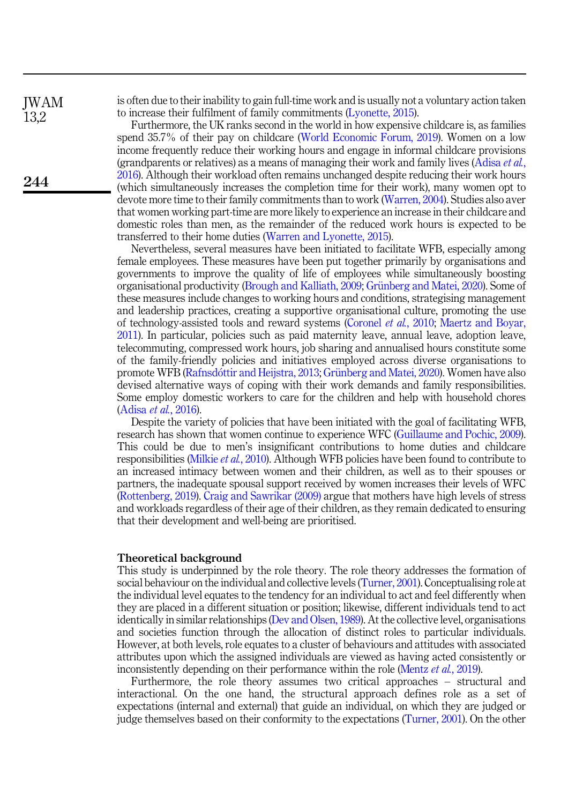*IWAM* 13,2

244

is often due to their inability to gain full-time work and is usually not a voluntary action taken to increase their fulfilment of family commitments ([Lyonette, 2015](#page-17-6)).

Furthermore, the UK ranks second in the world in how expensive childcare is, as families spend 35.7% of their pay on childcare [\(World Economic Forum, 2019\)](#page-18-10). Women on a low income frequently reduce their working hours and engage in informal childcare provisions (grandparents or relatives) as a means of managing their work and family lives ([Adisa](#page-14-3) *et al.*, [2016\)](#page-14-3). Although their workload often remains unchanged despite reducing their work hours (which simultaneously increases the completion time for their work), many women opt to devote more time to their family commitments than to work [\(Warren, 2004\)](#page-18-9). Studies also aver that women working part-time are more likely to experience an increase in their childcare and domestic roles than men, as the remainder of the reduced work hours is expected to be transferred to their home duties ([Warren and Lyonette, 2015\)](#page-18-11).

Nevertheless, several measures have been initiated to facilitate WFB, especially among female employees. These measures have been put together primarily by organisations and governments to improve the quality of life of employees while simultaneously boosting organisational productivity [\(Brough and Kalliath, 2009](#page-15-6); Grünberg and Matei, 2020). Some of these measures include changes to working hours and conditions, strategising management and leadership practices, creating a supportive organisational culture, promoting the use of technology-assisted tools and reward systems ([Coronel](#page-15-7) et al., 2010; [Maertz and Boyar,](#page-17-1) [2011\)](#page-17-1). In particular, policies such as paid maternity leave, annual leave, adoption leave, telecommuting, compressed work hours, job sharing and annualised hours constitute some of the family-friendly policies and initiatives employed across diverse organisations to promote WFB [\(Rafnsd](#page-17-2)ó[ttir and Heijstra, 2013](#page-17-2); Grünberg and Matei, 2020). Women have also devised alternative ways of coping with their work demands and family responsibilities. Some employ domestic workers to care for the children and help with household chores ([Adisa](#page-14-3) et al., 2016).

Despite the variety of policies that have been initiated with the goal of facilitating WFB, research has shown that women continue to experience WFC ([Guillaume and Pochic, 2009\)](#page-16-13). This could be due to men's insignificant contributions to home duties and childcare responsibilities ([Milkie](#page-17-7) et al., 2010). Although WFB policies have been found to contribute to an increased intimacy between women and their children, as well as to their spouses or partners, the inadequate spousal support received by women increases their levels of WFC ([Rottenberg, 2019\)](#page-18-12). [Craig and Sawrikar \(2009\)](#page-15-8) argue that mothers have high levels of stress and workloads regardless of their age of their children, as they remain dedicated to ensuring that their development and well-being are prioritised.

#### Theoretical background

This study is underpinned by the role theory. The role theory addresses the formation of social behaviour on the individual and collective levels [\(Turner, 2001](#page-18-13)). Conceptualising role at the individual level equates to the tendency for an individual to act and feel differently when they are placed in a different situation or position; likewise, different individuals tend to act identically in similar relationships ([Dev and Olsen, 1989](#page-15-9)). At the collective level, organisations and societies function through the allocation of distinct roles to particular individuals. However, at both levels, role equates to a cluster of behaviours and attitudes with associated attributes upon which the assigned individuals are viewed as having acted consistently or inconsistently depending on their performance within the role [\(Mentz](#page-17-8) *et al.*, 2019).

Furthermore, the role theory assumes two critical approaches – structural and interactional. On the one hand, the structural approach defines role as a set of expectations (internal and external) that guide an individual, on which they are judged or judge themselves based on their conformity to the expectations ([Turner, 2001](#page-18-13)). On the other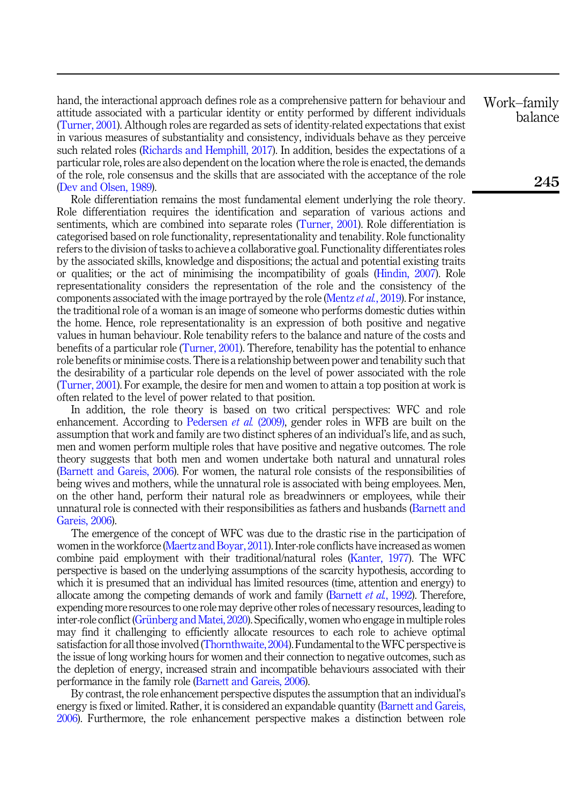hand, the interactional approach defines role as a comprehensive pattern for behaviour and attitude associated with a particular identity or entity performed by different individuals ([Turner, 2001](#page-18-13)). Although roles are regarded as sets of identity-related expectations that exist in various measures of substantiality and consistency, individuals behave as they perceive such related roles [\(Richards and Hemphill, 2017\)](#page-18-14). In addition, besides the expectations of a particular role, roles are also dependent on the location where the role is enacted, the demands of the role, role consensus and the skills that are associated with the acceptance of the role ([Dev and Olsen, 1989](#page-15-9)).

Role differentiation remains the most fundamental element underlying the role theory. Role differentiation requires the identification and separation of various actions and sentiments, which are combined into separate roles [\(Turner, 2001](#page-18-13)). Role differentiation is categorised based on role functionality, representationality and tenability. Role functionality refers to the division of tasks to achieve a collaborative goal. Functionality differentiates roles by the associated skills, knowledge and dispositions; the actual and potential existing traits or qualities; or the act of minimising the incompatibility of goals ([Hindin, 2007\)](#page-16-14). Role representationality considers the representation of the role and the consistency of the components associated with the image portrayed by the role [\(Mentz](#page-17-8) et al., 2019). For instance, the traditional role of a woman is an image of someone who performs domestic duties within the home. Hence, role representationality is an expression of both positive and negative values in human behaviour. Role tenability refers to the balance and nature of the costs and benefits of a particular role [\(Turner, 2001\)](#page-18-13). Therefore, tenability has the potential to enhance role benefits or minimise costs. There is a relationship between power and tenability such that the desirability of a particular role depends on the level of power associated with the role ([Turner, 2001](#page-18-13)). For example, the desire for men and women to attain a top position at work is often related to the level of power related to that position.

In addition, the role theory is based on two critical perspectives: WFC and role enhancement. According to [Pedersen](#page-17-9) *et al.* (2009), gender roles in WFB are built on the assumption that work and family are two distinct spheres of an individual's life, and as such, men and women perform multiple roles that have positive and negative outcomes. The role theory suggests that both men and women undertake both natural and unnatural roles ([Barnett and Gareis, 2006](#page-15-10)). For women, the natural role consists of the responsibilities of being wives and mothers, while the unnatural role is associated with being employees. Men, on the other hand, perform their natural role as breadwinners or employees, while their unnatural role is connected with their responsibilities as fathers and husbands ([Barnett and](#page-15-10) [Gareis, 2006\)](#page-15-10).

The emergence of the concept of WFC was due to the drastic rise in the participation of women in the workforce [\(Maertz and Boyar, 2011](#page-17-1)). Inter-role conflicts have increased as women combine paid employment with their traditional/natural roles ([Kanter, 1977](#page-16-15)). The WFC perspective is based on the underlying assumptions of the scarcity hypothesis, according to which it is presumed that an individual has limited resources (time, attention and energy) to allocate among the competing demands of work and family ([Barnett](#page-15-11) *et al.*, 1992). Therefore, expending more resources to one role may deprive other roles of necessary resources, leading to inter-role conflict (Grünberg and Matei, 2020). Specifically, women who engage in multiple roles may find it challenging to efficiently allocate resources to each role to achieve optimal satisfaction for all those involved [\(Thornthwaite, 2004](#page-18-7)). Fundamental to theWFC perspective is the issue of long working hours for women and their connection to negative outcomes, such as the depletion of energy, increased strain and incompatible behaviours associated with their performance in the family role ([Barnett and Gareis, 2006](#page-15-10)).

By contrast, the role enhancement perspective disputes the assumption that an individual's energy is fixed or limited. Rather, it is considered an expandable quantity [\(Barnett and Gareis,](#page-15-10) [2006\)](#page-15-10). Furthermore, the role enhancement perspective makes a distinction between role Work–family balance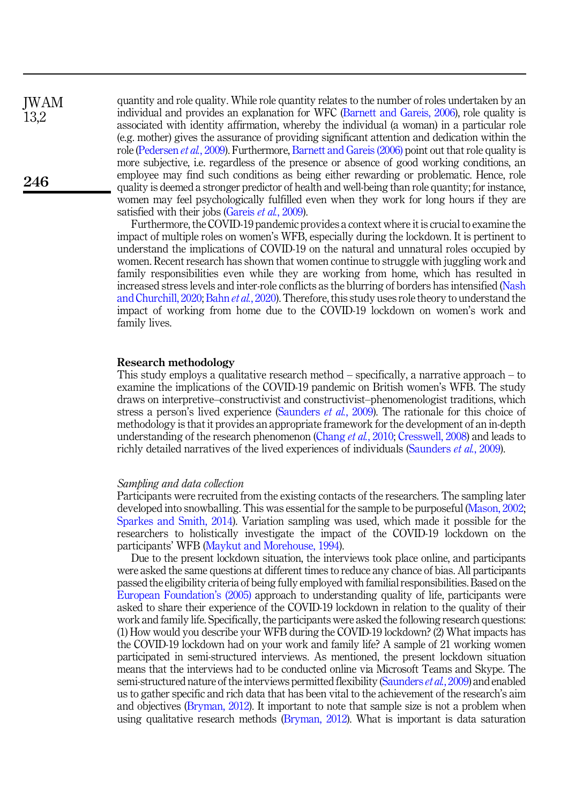quantity and role quality. While role quantity relates to the number of roles undertaken by an individual and provides an explanation for WFC [\(Barnett and Gareis, 2006](#page-15-10)), role quality is associated with identity affirmation, whereby the individual (a woman) in a particular role (e.g. mother) gives the assurance of providing significant attention and dedication within the role [\(Pedersen](#page-17-9) *et al.*, 2009). Furthermore, [Barnett and Gareis \(2006\)](#page-15-10) point out that role quality is more subjective, i.e. regardless of the presence or absence of good working conditions, an employee may find such conditions as being either rewarding or problematic. Hence, role quality is deemed a stronger predictor of health and well-being than role quantity; for instance, women may feel psychologically fulfilled even when they work for long hours if they are satisfied with their jobs ([Gareis](#page-16-16) et al., 2009).

> Furthermore, the COVID-19 pandemic provides a context where it is crucial to examine the impact of multiple roles on women's WFB, especially during the lockdown. It is pertinent to understand the implications of COVID-19 on the natural and unnatural roles occupied by women. Recent research has shown that women continue to struggle with juggling work and family responsibilities even while they are working from home, which has resulted in increased stress levels and inter-role conflicts as the blurring of borders has intensified [\(Nash](#page-17-10) [and Churchill, 2020;](#page-17-10) Bahn et al.[, 2020\)](#page-15-12). Therefore, this study uses role theory to understand the impact of working from home due to the COVID-19 lockdown on women's work and family lives.

### Research methodology

This study employs a qualitative research method – specifically, a narrative approach – to examine the implications of the COVID-19 pandemic on British women's WFB. The study draws on interpretive–constructivist and constructivist–phenomenologist traditions, which stress a person's lived experience ([Saunders](#page-18-15) *et al.*, 2009). The rationale for this choice of methodology is that it provides an appropriate framework for the development of an in-depth understanding of the research phenomenon ([Chang](#page-15-13) *et al.*, 2010; [Cresswell, 2008](#page-15-14)) and leads to richly detailed narratives of the lived experiences of individuals [\(Saunders](#page-18-15) et al., 2009).

#### Sampling and data collection

Participants were recruited from the existing contacts of the researchers. The sampling later developed into snowballing. This was essential for the sample to be purposeful [\(Mason, 2002](#page-17-11); [Sparkes and Smith, 2014\)](#page-18-16). Variation sampling was used, which made it possible for the researchers to holistically investigate the impact of the COVID-19 lockdown on the participants' WFB [\(Maykut and Morehouse, 1994](#page-17-12)).

Due to the present lockdown situation, the interviews took place online, and participants were asked the same questions at different times to reduce any chance of bias. All participants passed the eligibility criteria of being fully employed with familial responsibilities. Based on the [European Foundation](#page-15-15)'s (2005) approach to understanding quality of life, participants were asked to share their experience of the COVID-19 lockdown in relation to the quality of their work and family life. Specifically, the participants were asked the following research questions: (1) How would you describe your WFB during the COVID-19 lockdown? (2) What impacts has the COVID-19 lockdown had on your work and family life? A sample of 21 working women participated in semi-structured interviews. As mentioned, the present lockdown situation means that the interviews had to be conducted online via Microsoft Teams and Skype. The semi-structured nature of the interviews permitted flexibility ([Saunders](#page-18-15) *et al.*, 2009) and enabled us to gather specific and rich data that has been vital to the achievement of the research's aim and objectives [\(Bryman, 2012\)](#page-15-16). It important to note that sample size is not a problem when using qualitative research methods [\(Bryman, 2012\)](#page-15-16). What is important is data saturation

JWAM 13,2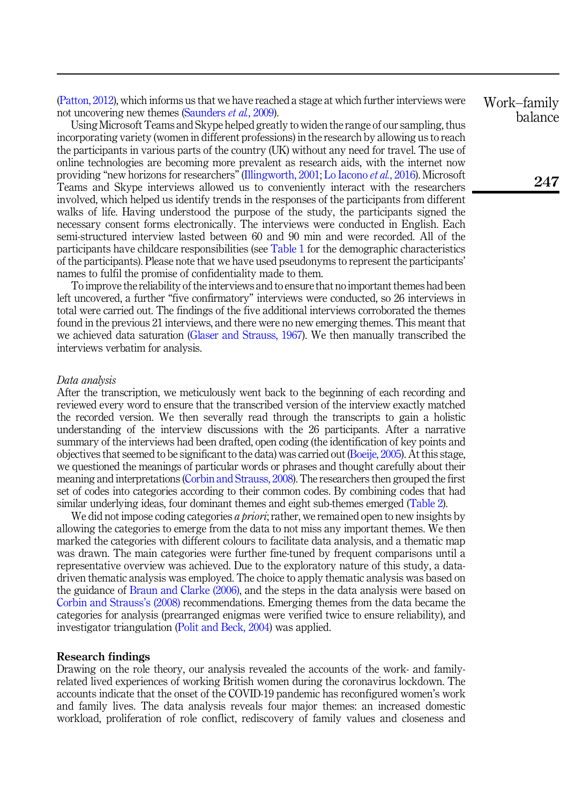[\(Patton, 2012](#page-17-13)), which informs us that we have reached a stage at which further interviews were not uncovering new themes [\(Saunders](#page-18-15) *et al.*, 2009).

Using Microsoft Teams and Skype helped greatly to widen the range of our sampling, thus incorporating variety (women in different professions) in the research by allowing us to reach the participants in various parts of the country (UK) without any need for travel. The use of online technologies are becoming more prevalent as research aids, with the internet now providing "new horizons for researchers" ([Illingworth, 2001;](#page-16-17) [Lo Iacono](#page-17-14) et al., 2016). Microsoft Teams and Skype interviews allowed us to conveniently interact with the researchers involved, which helped us identify trends in the responses of the participants from different walks of life. Having understood the purpose of the study, the participants signed the necessary consent forms electronically. The interviews were conducted in English. Each semi-structured interview lasted between 60 and 90 min and were recorded. All of the participants have childcare responsibilities (see [Table 1](#page-7-0) for the demographic characteristics of the participants). Please note that we have used pseudonyms to represent the participants' names to fulfil the promise of confidentiality made to them.

To improve the reliability of the interviews and to ensure that no important themes had been left uncovered, a further "five confirmatory" interviews were conducted, so 26 interviews in total were carried out. The findings of the five additional interviews corroborated the themes found in the previous 21 interviews, and there were no new emerging themes. This meant that we achieved data saturation [\(Glaser and Strauss, 1967\)](#page-16-18). We then manually transcribed the interviews verbatim for analysis.

#### Data analysis

After the transcription, we meticulously went back to the beginning of each recording and reviewed every word to ensure that the transcribed version of the interview exactly matched the recorded version. We then severally read through the transcripts to gain a holistic understanding of the interview discussions with the 26 participants. After a narrative summary of the interviews had been drafted, open coding (the identification of key points and objectives that seemed to be significant to the data) was carried out [\(Boeije, 2005\)](#page-15-17). At this stage, we questioned the meanings of particular words or phrases and thought carefully about their meaning and interpretations ([Corbin and Strauss, 2008\)](#page-15-18). The researchers then grouped the first set of codes into categories according to their common codes. By combining codes that had similar underlying ideas, four dominant themes and eight sub-themes emerged ([Table 2\)](#page-8-0).

We did not impose coding categories a *priori*; rather, we remained open to new insights by allowing the categories to emerge from the data to not miss any important themes. We then marked the categories with different colours to facilitate data analysis, and a thematic map was drawn. The main categories were further fine-tuned by frequent comparisons until a representative overview was achieved. Due to the exploratory nature of this study, a datadriven thematic analysis was employed. The choice to apply thematic analysis was based on the guidance of [Braun and Clarke \(2006\),](#page-15-19) and the steps in the data analysis were based on [Corbin and Strauss](#page-15-18)'s (2008) recommendations. Emerging themes from the data became the categories for analysis (prearranged enigmas were verified twice to ensure reliability), and investigator triangulation ([Polit and Beck, 2004](#page-17-15)) was applied.

# Research findings

Drawing on the role theory, our analysis revealed the accounts of the work- and familyrelated lived experiences of working British women during the coronavirus lockdown. The accounts indicate that the onset of the COVID-19 pandemic has reconfigured women's work and family lives. The data analysis reveals four major themes: an increased domestic workload, proliferation of role conflict, rediscovery of family values and closeness and Work–family balance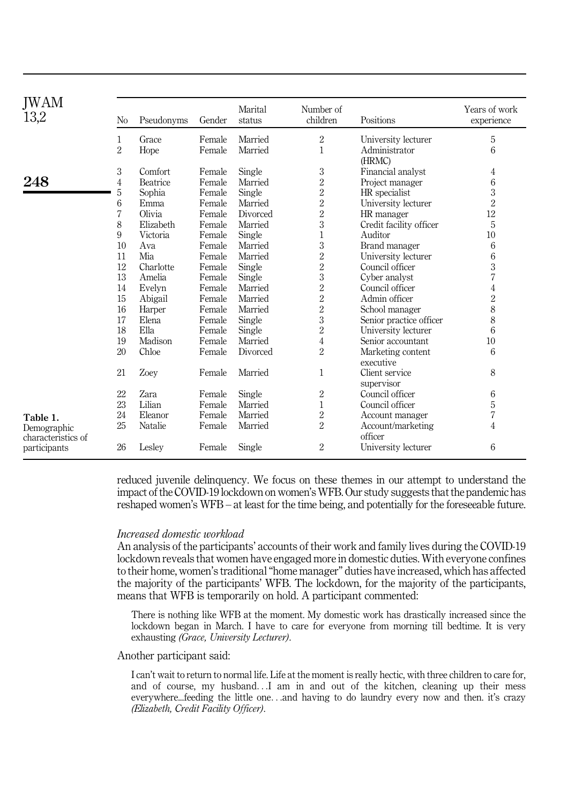<span id="page-7-0"></span>

| <b>IWAM</b><br>13,2 | N <sub>o</sub> | Pseudonyms      | Gender | Marital<br>status | Number of<br>children | Positions                      | Years of work<br>experience |
|---------------------|----------------|-----------------|--------|-------------------|-----------------------|--------------------------------|-----------------------------|
|                     | 1              | Grace           | Female | Married           | $\overline{2}$        | University lecturer            | 5                           |
|                     | $\overline{2}$ | Hope            | Female | Married           | 1                     | Administrator<br>(HRMC)        | 6                           |
|                     | 3              | Comfort         | Female | Single            | 3                     | Financial analyst              | 4                           |
| 248                 | 4              | <b>Beatrice</b> | Female | Married           | $\overline{2}$        | Project manager                | 6                           |
|                     | 5              | Sophia          | Female | Single            | $\overline{2}$        | HR specialist                  | 3                           |
|                     | 6              | Emma            | Female | Married           | $\overline{2}$        | University lecturer            | $\overline{2}$              |
|                     | 7              | Olivia          | Female | Divorced          | $\overline{2}$        | HR manager                     | 12                          |
|                     | 8              | Elizabeth       | Female | Married           | 3                     | Credit facility officer        | 5                           |
|                     | 9              | Victoria        | Female | Single            | $\overline{1}$        | Auditor                        | 10                          |
|                     | 10             | Ava             | Female | Married           | 3                     | Brand manager                  | 6                           |
|                     | 11             | Mia             | Female | Married           | 2                     | University lecturer            | 6                           |
|                     | 12             | Charlotte       | Female | Single            | $\overline{2}$        | Council officer                | 3                           |
|                     | 13             | Amelia          | Female | Single            | 3                     | Cyber analyst                  | 7                           |
|                     | 14             | Evelyn          | Female | Married           | $\overline{2}$        | Council officer                | $\overline{4}$              |
|                     | 15             | Abigail         | Female | Married           | $\overline{2}$        | Admin officer                  | $\overline{2}$              |
|                     | 16             | Harper          | Female | Married           | $\overline{2}$        | School manager                 | 8                           |
|                     | 17             | Elena           | Female | Single            | 3                     | Senior practice officer        | 8                           |
|                     | 18             | Ella            | Female | Single            | $\overline{2}$        | University lecturer            | 6                           |
|                     | 19             | Madison         | Female | Married           | 4                     | Senior accountant              | 10                          |
|                     | 20             | Chloe           | Female | Divorced          | $\overline{2}$        | Marketing content<br>executive | 6                           |
|                     | 21             | Zoey            | Female | Married           | 1                     | Client service<br>supervisor   | 8                           |
|                     | 22             | Zara            | Female | Single            | $\overline{2}$        | Council officer                | 6                           |
|                     | 23             | Lilian          | Female | Married           | $\mathbf{1}$          | Council officer                | 5                           |
| Table 1.            | 24             | Eleanor         | Female | Married           | 2                     | Account manager                | 7                           |
| Demographic         | 25             | Natalie         | Female | Married           | $\overline{2}$        | Account/marketing              | 4                           |
| characteristics of  |                |                 |        |                   |                       | officer                        |                             |
| participants        | 26             | Lesley          | Female | Single            | 2                     | University lecturer            | 6                           |

reduced juvenile delinquency. We focus on these themes in our attempt to understand the impact of the COVID-19 lockdown on women's WFB. Our study suggests that the pandemic has reshaped women's WFB – at least for the time being, and potentially for the foreseeable future.

#### Increased domestic workload

An analysis of the participants' accounts of their work and family lives during the COVID-19 lockdown reveals that women have engaged more in domestic duties. With everyone confines to their home, women's traditional"home manager" duties have increased, which has affected the majority of the participants' WFB. The lockdown, for the majority of the participants, means that WFB is temporarily on hold. A participant commented:

There is nothing like WFB at the moment. My domestic work has drastically increased since the lockdown began in March. I have to care for everyone from morning till bedtime. It is very exhausting (Grace, University Lecturer).

#### Another participant said:

I can't wait to return to normal life. Life at the moment is really hectic, with three children to care for, and of course, my husband...I am in and out of the kitchen, cleaning up their mess everywhere...feeding the little one...and having to do laundry every now and then. it's crazy (Elizabeth, Credit Facility Officer).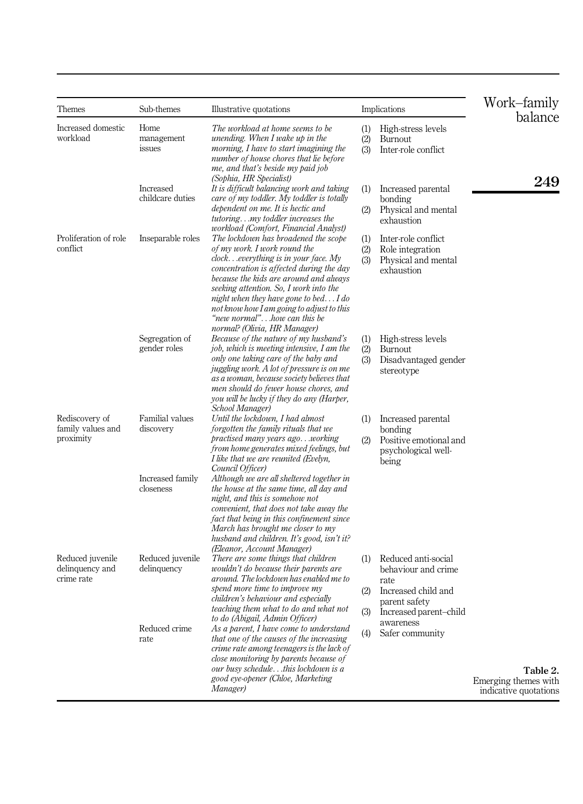<span id="page-8-0"></span>

| Themes                                            | Sub-themes                      | Illustrative quotations                                                                                                                                                                                                                                                                                                                                                                            |                   | Implications                                                                                                         | Work–family<br>balance                                    |
|---------------------------------------------------|---------------------------------|----------------------------------------------------------------------------------------------------------------------------------------------------------------------------------------------------------------------------------------------------------------------------------------------------------------------------------------------------------------------------------------------------|-------------------|----------------------------------------------------------------------------------------------------------------------|-----------------------------------------------------------|
| Increased domestic<br>workload                    | Home<br>management<br>issues    | The workload at home seems to be<br>unending. When I wake up in the<br>morning, I have to start imagining the<br>number of house chores that lie before<br>me, and that's beside my paid job                                                                                                                                                                                                       | (1)<br>(2)<br>(3) | High-stress levels<br><b>Burnout</b><br>Inter-role conflict                                                          |                                                           |
|                                                   | Increased<br>childcare duties   | (Sophia, HR Specialist)<br>It is difficult balancing work and taking<br>care of my toddler. My toddler is totally<br>dependent on me. It is hectic and<br>tutoringmy toddler increases the<br>workload (Comfort, Financial Analyst)                                                                                                                                                                | (1)<br>(2)        | Increased parental<br>bonding<br>Physical and mental<br>exhaustion                                                   | 249                                                       |
| Proliferation of role<br>conflict                 | Inseparable roles               | The lockdown has broadened the scope<br>of my work. I work round the<br>clockeverything is in your face. My<br>concentration is affected during the day<br>because the kids are around and always<br>seeking attention. So, I work into the<br>night when they have gone to bed $I$ do<br>not know how I am going to adjust to this<br>"new normal"how can this be<br>normal? (Olivia, HR Manager) | (1)<br>(2)<br>(3) | Inter-role conflict<br>Role integration<br>Physical and mental<br>exhaustion                                         |                                                           |
|                                                   | Segregation of<br>gender roles  | Because of the nature of my husband's<br>job, which is meeting intensive, I am the<br>only one taking care of the baby and<br>juggling work. A lot of pressure is on me<br>as a woman, because society believes that<br>men should do fewer house chores, and<br>you will be lucky if they do any (Harper,<br>School Manager)                                                                      | (1)<br>(2)<br>(3) | High-stress levels<br>Burnout<br>Disadvantaged gender<br>stereotype                                                  |                                                           |
| Rediscovery of<br>family values and<br>proximity  | Familial values<br>discovery    | Until the lockdown, I had almost<br>forgotten the family rituals that we<br>practised many years agoworking<br>from home generates mixed feelings, but<br>I like that we are reunited (Evelyn,<br>Council Officer)                                                                                                                                                                                 | (1)<br>(2)        | Increased parental<br>bonding<br>Positive emotional and<br>psychological well-<br>being                              |                                                           |
|                                                   | Increased family<br>closeness   | Although we are all sheltered together in<br>the house at the same time, all day and<br>night, and this is somehow not<br>convenient, that does not take away the<br>fact that being in this confinement since<br>March has brought me closer to my<br>husband and children. It's good, isn't it?<br>(Eleanor, Account Manager)                                                                    |                   |                                                                                                                      |                                                           |
| Reduced juvenile<br>delinquency and<br>crime rate | Reduced juvenile<br>delinquency | There are some things that children<br>wouldn't do because their parents are<br>around. The lockdown has enabled me to<br>spend more time to improve my<br>children's behaviour and especially<br>teaching them what to do and what not<br>to do (Abigail, Admin Officer)                                                                                                                          | (1)<br>(2)<br>(3) | Reduced anti-social<br>behaviour and crime<br>rate<br>Increased child and<br>parent safety<br>Increased parent-child |                                                           |
|                                                   | Reduced crime<br>rate           | As a parent, I have come to understand<br>that one of the causes of the increasing<br>crime rate among teenagers is the lack of<br>close monitoring by parents because of                                                                                                                                                                                                                          | (4)               | awareness<br>Safer community                                                                                         |                                                           |
|                                                   |                                 | our busy schedulethis lockdown is a<br>good eye-opener (Chloe, Marketing<br>Manager)                                                                                                                                                                                                                                                                                                               |                   |                                                                                                                      | Table 2.<br>Emerging themes with<br>indicative quotations |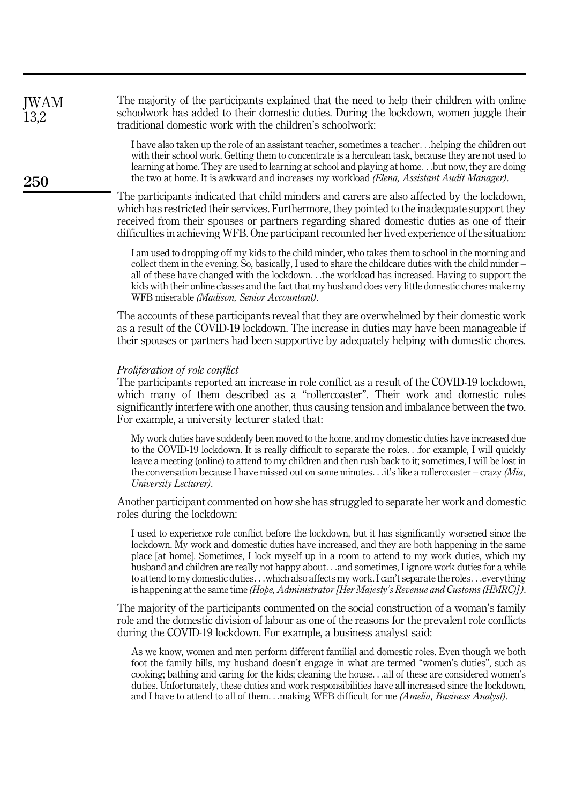The majority of the participants explained that the need to help their children with online schoolwork has added to their domestic duties. During the lockdown, women juggle their traditional domestic work with the children's schoolwork: JWAM 13,2

> I have also taken up the role of an assistant teacher, sometimes a teacher...helping the children out with their school work. Getting them to concentrate is a herculean task, because they are not used to learning at home. They are used to learning at school and playing at home...but now, they are doing the two at home. It is awkward and increases my workload (Elena, Assistant Audit Manager).

The participants indicated that child minders and carers are also affected by the lockdown, which has restricted their services. Furthermore, they pointed to the inadequate support they received from their spouses or partners regarding shared domestic duties as one of their difficulties in achieving WFB. One participant recounted her lived experience of the situation:

I am used to dropping off my kids to the child minder, who takes them to school in the morning and collect them in the evening. So, basically, I used to share the childcare duties with the child minder – all of these have changed with the lockdown...the workload has increased. Having to support the kids with their online classes and the fact that my husband does very little domestic chores make my WFB miserable (Madison, Senior Accountant).

The accounts of these participants reveal that they are overwhelmed by their domestic work as a result of the COVID-19 lockdown. The increase in duties may have been manageable if their spouses or partners had been supportive by adequately helping with domestic chores.

#### Proliferation of role conflict

The participants reported an increase in role conflict as a result of the COVID-19 lockdown, which many of them described as a "rollercoaster". Their work and domestic roles significantly interfere with one another, thus causing tension and imbalance between the two. For example, a university lecturer stated that:

My work duties have suddenly been moved to the home, and my domestic duties have increased due to the COVID-19 lockdown. It is really difficult to separate the roles...for example, I will quickly leave a meeting (online) to attend to my children and then rush back to it; sometimes, I will be lost in the conversation because I have missed out on some minutes...it's like a rollercoaster – crazy (Mia, University Lecturer).

Another participant commented on how she has struggled to separate her work and domestic roles during the lockdown:

I used to experience role conflict before the lockdown, but it has significantly worsened since the lockdown. My work and domestic duties have increased, and they are both happening in the same place [at home]. Sometimes, I lock myself up in a room to attend to my work duties, which my husband and children are really not happy about...and sometimes, I ignore work duties for a while to attend to my domestic duties...which also affects my work. I can't separate the roles...everything is happening at the same time (Hope, Administrator [Her Majesty's Revenue and Customs (HMRC)]).

The majority of the participants commented on the social construction of a woman's family role and the domestic division of labour as one of the reasons for the prevalent role conflicts during the COVID-19 lockdown. For example, a business analyst said:

As we know, women and men perform different familial and domestic roles. Even though we both foot the family bills, my husband doesn't engage in what are termed "women's duties", such as cooking; bathing and caring for the kids; cleaning the house...all of these are considered women's duties. Unfortunately, these duties and work responsibilities have all increased since the lockdown, and I have to attend to all of them...making WFB difficult for me (Amelia, Business Analyst).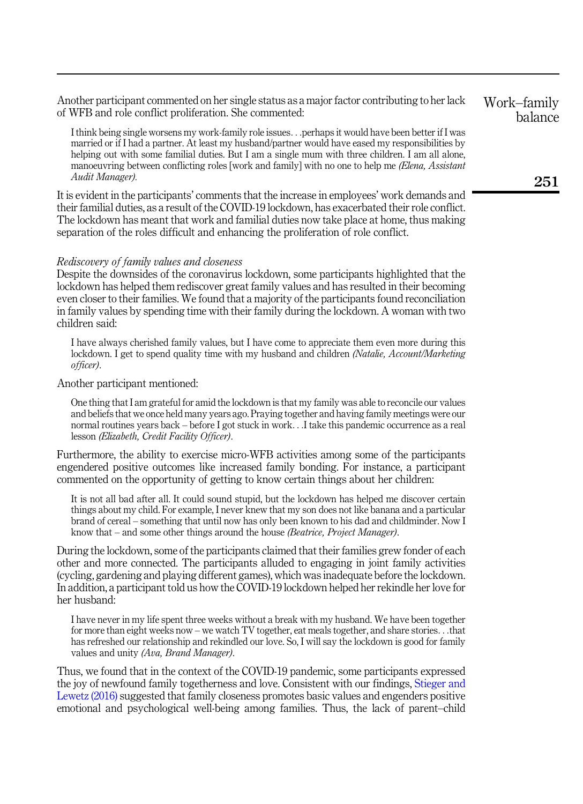Another participant commented on her single status as a major factor contributing to her lack of WFB and role conflict proliferation. She commented:

I think being single worsens my work-family role issues...perhaps it would have been better if I was married or if I had a partner. At least my husband/partner would have eased my responsibilities by helping out with some familial duties. But I am a single mum with three children. I am all alone, manoeuvring between conflicting roles [work and family] with no one to help me *(Elena, Assistant*) Audit Manager).

It is evident in the participants' comments that the increase in employees' work demands and their familial duties, as a result of the COVID-19 lockdown, has exacerbated their role conflict. The lockdown has meant that work and familial duties now take place at home, thus making separation of the roles difficult and enhancing the proliferation of role conflict.

#### Rediscovery of family values and closeness

Despite the downsides of the coronavirus lockdown, some participants highlighted that the lockdown has helped them rediscover great family values and has resulted in their becoming even closer to their families. We found that a majority of the participants found reconciliation in family values by spending time with their family during the lockdown. A woman with two children said:

I have always cherished family values, but I have come to appreciate them even more during this lockdown. I get to spend quality time with my husband and children (Natalie, Account/Marketing officer).

Another participant mentioned:

One thing that I am grateful for amid the lockdown is that my family was able to reconcile our values and beliefs that we once held many years ago. Praying together and having family meetings were our normal routines years back – before I got stuck in work...I take this pandemic occurrence as a real lesson (Elizabeth, Credit Facility Officer).

Furthermore, the ability to exercise micro-WFB activities among some of the participants engendered positive outcomes like increased family bonding. For instance, a participant commented on the opportunity of getting to know certain things about her children:

It is not all bad after all. It could sound stupid, but the lockdown has helped me discover certain things about my child. For example, I never knew that my son does not like banana and a particular brand of cereal – something that until now has only been known to his dad and childminder. Now I know that – and some other things around the house (Beatrice, Project Manager).

During the lockdown, some of the participants claimed that their families grew fonder of each other and more connected. The participants alluded to engaging in joint family activities (cycling, gardening and playing different games), which was inadequate before the lockdown. In addition, a participant told us how the COVID-19 lockdown helped her rekindle her love for her husband:

I have never in my life spent three weeks without a break with my husband. We have been together for more than eight weeks now – we watch TV together, eat meals together, and share stories...that has refreshed our relationship and rekindled our love. So, I will say the lockdown is good for family values and unity (Ava, Brand Manager).

Thus, we found that in the context of the COVID-19 pandemic, some participants expressed the joy of newfound family togetherness and love. Consistent with our findings, [Stieger and](#page-18-17) [Lewetz \(2016\)](#page-18-17) suggested that family closeness promotes basic values and engenders positive emotional and psychological well-being among families. Thus, the lack of parent–child Work–family balance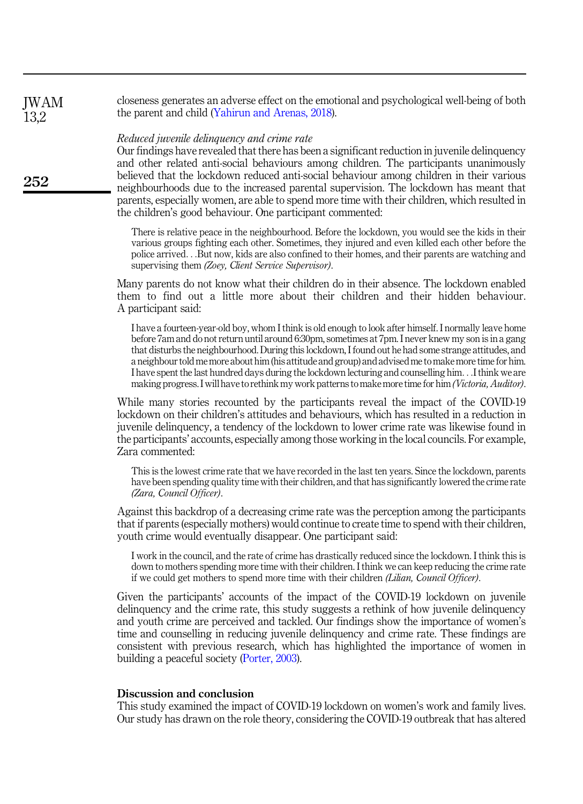closeness generates an adverse effect on the emotional and psychological well-being of both the parent and child ([Yahirun and Arenas, 2018\)](#page-18-18). JWAM 13,2

# Reduced juvenile delinquency and crime rate

252

Our findings have revealed that there has been a significant reduction in juvenile delinquency and other related anti-social behaviours among children. The participants unanimously believed that the lockdown reduced anti-social behaviour among children in their various neighbourhoods due to the increased parental supervision. The lockdown has meant that parents, especially women, are able to spend more time with their children, which resulted in the children's good behaviour. One participant commented:

There is relative peace in the neighbourhood. Before the lockdown, you would see the kids in their various groups fighting each other. Sometimes, they injured and even killed each other before the police arrived...But now, kids are also confined to their homes, and their parents are watching and supervising them (Zoey, Client Service Supervisor).

Many parents do not know what their children do in their absence. The lockdown enabled them to find out a little more about their children and their hidden behaviour. A participant said:

I have a fourteen-year-old boy, whom I think is old enough to look after himself. I normally leave home before 7am and do not return until around 6:30pm, sometimes at 7pm. I never knew my son is in a gang that disturbs the neighbourhood. During this lockdown, I found out he had some strange attitudes, and a neighbour told me more about him (his attitude and group) and advised me to make more time for him. I have spent the last hundred days during the lockdown lecturing and counselling him...I think we are making progress. I will have to rethink my work patterns to make more time for him(Victoria, Auditor).

While many stories recounted by the participants reveal the impact of the COVID-19 lockdown on their children's attitudes and behaviours, which has resulted in a reduction in juvenile delinquency, a tendency of the lockdown to lower crime rate was likewise found in the participants' accounts, especially among those working in the local councils. For example, Zara commented:

This is the lowest crime rate that we have recorded in the last ten years. Since the lockdown, parents have been spending quality time with their children, and that has significantly lowered the crime rate (Zara, Council Officer).

Against this backdrop of a decreasing crime rate was the perception among the participants that if parents (especially mothers) would continue to create time to spend with their children, youth crime would eventually disappear. One participant said:

I work in the council, and the rate of crime has drastically reduced since the lockdown. I think this is down to mothers spending more time with their children. I think we can keep reducing the crime rate if we could get mothers to spend more time with their children (Lilian, Council Officer).

Given the participants' accounts of the impact of the COVID-19 lockdown on juvenile delinquency and the crime rate, this study suggests a rethink of how juvenile delinquency and youth crime are perceived and tackled. Our findings show the importance of women's time and counselling in reducing juvenile delinquency and crime rate. These findings are consistent with previous research, which has highlighted the importance of women in building a peaceful society ([Porter, 2003](#page-17-16)).

## Discussion and conclusion

This study examined the impact of COVID-19 lockdown on women's work and family lives. Our study has drawn on the role theory, considering the COVID-19 outbreak that has altered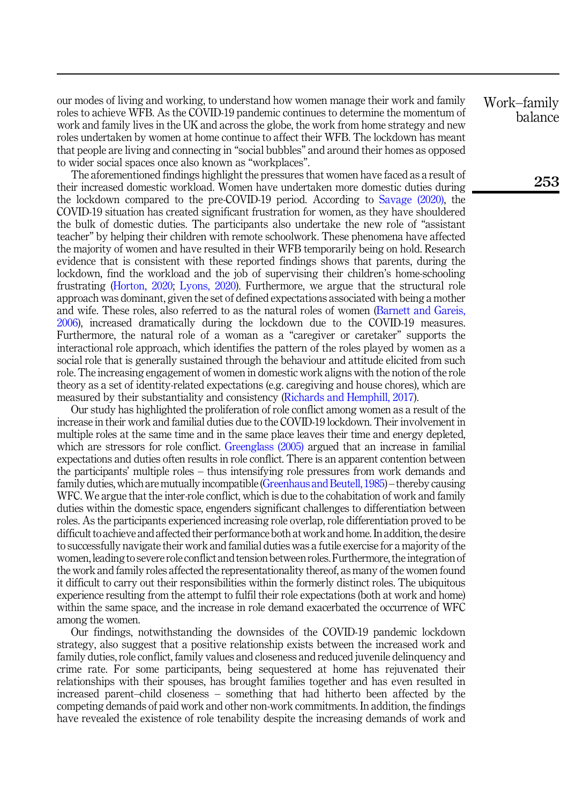our modes of living and working, to understand how women manage their work and family roles to achieve WFB. As the COVID-19 pandemic continues to determine the momentum of work and family lives in the UK and across the globe, the work from home strategy and new roles undertaken by women at home continue to affect their WFB. The lockdown has meant that people are living and connecting in "social bubbles" and around their homes as opposed to wider social spaces once also known as "workplaces".

The aforementioned findings highlight the pressures that women have faced as a result of their increased domestic workload. Women have undertaken more domestic duties during the lockdown compared to the pre-COVID-19 period. According to [Savage \(2020\),](#page-18-19) the COVID-19 situation has created significant frustration for women, as they have shouldered the bulk of domestic duties. The participants also undertake the new role of "assistant teacher" by helping their children with remote schoolwork. These phenomena have affected the majority of women and have resulted in their WFB temporarily being on hold. Research evidence that is consistent with these reported findings shows that parents, during the lockdown, find the workload and the job of supervising their children's home-schooling frustrating ([Horton, 2020](#page-16-19); [Lyons, 2020\)](#page-17-17). Furthermore, we argue that the structural role approach was dominant, given the set of defined expectations associated with being a mother and wife. These roles, also referred to as the natural roles of women ([Barnett and Gareis,](#page-15-10) [2006\)](#page-15-10), increased dramatically during the lockdown due to the COVID-19 measures. Furthermore, the natural role of a woman as a "caregiver or caretaker" supports the interactional role approach, which identifies the pattern of the roles played by women as a social role that is generally sustained through the behaviour and attitude elicited from such role. The increasing engagement of women in domestic work aligns with the notion of the role theory as a set of identity-related expectations (e.g. caregiving and house chores), which are measured by their substantiality and consistency ([Richards and Hemphill, 2017](#page-18-14)).

Our study has highlighted the proliferation of role conflict among women as a result of the increase in their work and familial duties due to the COVID-19 lockdown. Their involvement in multiple roles at the same time and in the same place leaves their time and energy depleted, which are stressors for role conflict. [Greenglass \(2005\)](#page-16-20) argued that an increase in familial expectations and duties often results in role conflict. There is an apparent contention between the participants' multiple roles – thus intensifying role pressures from work demands and family duties, which are mutually incompatible [\(Greenhaus and Beutell, 1985\)](#page-16-6) – thereby causing WFC. We argue that the inter-role conflict, which is due to the cohabitation of work and family duties within the domestic space, engenders significant challenges to differentiation between roles. As the participants experienced increasing role overlap, role differentiation proved to be difficult to achieve and affected their performance both at work and home. In addition, the desire to successfully navigate their work and familial duties was a futile exercise for a majority of the women, leading to severe role conflict and tension between roles. Furthermore, the integration of the work and family roles affected the representationality thereof, as many of the women found it difficult to carry out their responsibilities within the formerly distinct roles. The ubiquitous experience resulting from the attempt to fulfil their role expectations (both at work and home) within the same space, and the increase in role demand exacerbated the occurrence of WFC among the women.

Our findings, notwithstanding the downsides of the COVID-19 pandemic lockdown strategy, also suggest that a positive relationship exists between the increased work and family duties, role conflict, family values and closeness and reduced juvenile delinquency and crime rate. For some participants, being sequestered at home has rejuvenated their relationships with their spouses, has brought families together and has even resulted in increased parent–child closeness – something that had hitherto been affected by the competing demands of paid work and other non-work commitments. In addition, the findings have revealed the existence of role tenability despite the increasing demands of work and Work–family balance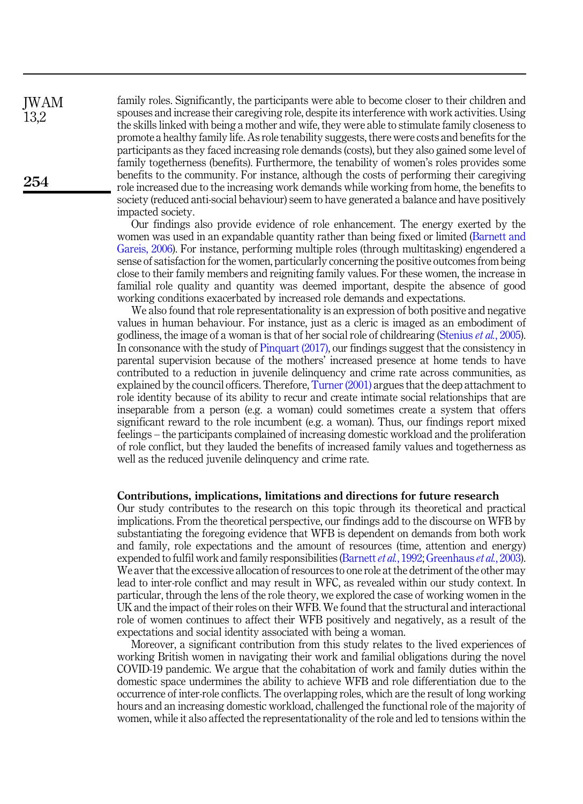family roles. Significantly, the participants were able to become closer to their children and spouses and increase their caregiving role, despite its interference with work activities. Using the skills linked with being a mother and wife, they were able to stimulate family closeness to promote a healthy family life. As role tenability suggests, there were costs and benefits for the participants as they faced increasing role demands (costs), but they also gained some level of family togetherness (benefits). Furthermore, the tenability of women's roles provides some benefits to the community. For instance, although the costs of performing their caregiving role increased due to the increasing work demands while working from home, the benefits to society (reduced anti-social behaviour) seem to have generated a balance and have positively impacted society.

Our findings also provide evidence of role enhancement. The energy exerted by the women was used in an expandable quantity rather than being fixed or limited ([Barnett and](#page-15-10) [Gareis, 2006\)](#page-15-10). For instance, performing multiple roles (through multitasking) engendered a sense of satisfaction for the women, particularly concerning the positive outcomes from being close to their family members and reigniting family values. For these women, the increase in familial role quality and quantity was deemed important, despite the absence of good working conditions exacerbated by increased role demands and expectations.

We also found that role representationality is an expression of both positive and negative values in human behaviour. For instance, just as a cleric is imaged as an embodiment of godliness, the image of a woman is that of her social role of childrearing [\(Stenius](#page-18-20) et al., 2005). In consonance with the study of [Pinquart \(2017\),](#page-17-18) our findings suggest that the consistency in parental supervision because of the mothers' increased presence at home tends to have contributed to a reduction in juvenile delinquency and crime rate across communities, as explained by the council officers. Therefore, [Turner \(2001\)](#page-18-13) argues that the deep attachment to role identity because of its ability to recur and create intimate social relationships that are inseparable from a person (e.g. a woman) could sometimes create a system that offers significant reward to the role incumbent (e.g. a woman). Thus, our findings report mixed feelings – the participants complained of increasing domestic workload and the proliferation of role conflict, but they lauded the benefits of increased family values and togetherness as well as the reduced juvenile delinquency and crime rate.

#### Contributions, implications, limitations and directions for future research

Our study contributes to the research on this topic through its theoretical and practical implications. From the theoretical perspective, our findings add to the discourse on WFB by substantiating the foregoing evidence that WFB is dependent on demands from both work and family, role expectations and the amount of resources (time, attention and energy) expended to fulfil work and family responsibilities ([Barnett](#page-15-11) et al., 1992; [Greenhaus](#page-16-0) et al., 2003). We aver that the excessive allocation of resources to one role at the detriment of the other may lead to inter-role conflict and may result in WFC, as revealed within our study context. In particular, through the lens of the role theory, we explored the case of working women in the UK and the impact of their roles on their WFB. We found that the structural and interactional role of women continues to affect their WFB positively and negatively, as a result of the expectations and social identity associated with being a woman.

Moreover, a significant contribution from this study relates to the lived experiences of working British women in navigating their work and familial obligations during the novel COVID-19 pandemic. We argue that the cohabitation of work and family duties within the domestic space undermines the ability to achieve WFB and role differentiation due to the occurrence of inter-role conflicts. The overlapping roles, which are the result of long working hours and an increasing domestic workload, challenged the functional role of the majority of women, while it also affected the representationality of the role and led to tensions within the

JWAM 13,2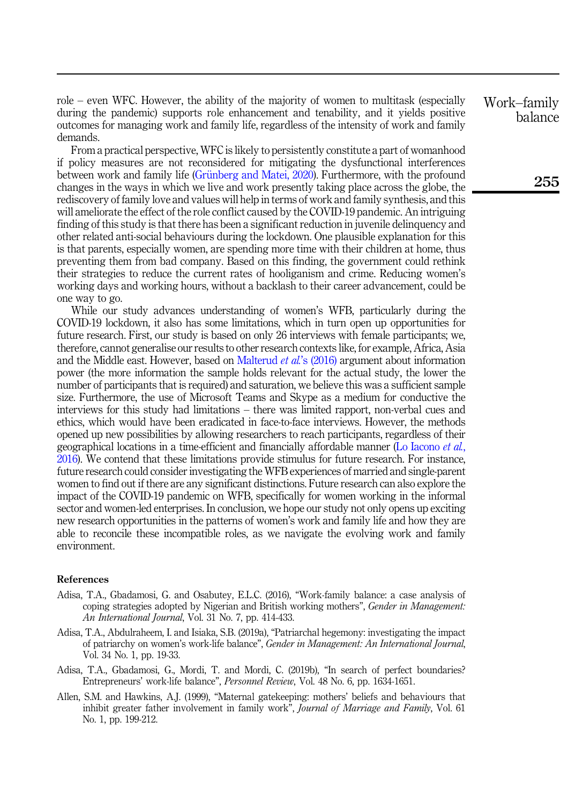role – even WFC. However, the ability of the majority of women to multitask (especially during the pandemic) supports role enhancement and tenability, and it yields positive outcomes for managing work and family life, regardless of the intensity of work and family demands.

From a practical perspective, WFC is likely to persistently constitute a part of womanhood if policy measures are not reconsidered for mitigating the dysfunctional interferences between work and family life (Grünberg and Matei, 2020). Furthermore, with the profound changes in the ways in which we live and work presently taking place across the globe, the rediscovery of family love and values will help in terms of work and family synthesis, and this will ameliorate the effect of the role conflict caused by the COVID-19 pandemic. An intriguing finding of this study is that there has been a significant reduction in juvenile delinquency and other related anti-social behaviours during the lockdown. One plausible explanation for this is that parents, especially women, are spending more time with their children at home, thus preventing them from bad company. Based on this finding, the government could rethink their strategies to reduce the current rates of hooliganism and crime. Reducing women's working days and working hours, without a backlash to their career advancement, could be one way to go.

While our study advances understanding of women's WFB, particularly during the COVID-19 lockdown, it also has some limitations, which in turn open up opportunities for future research. First, our study is based on only 26 interviews with female participants; we, therefore, cannot generalise our results to other research contexts like, for example, Africa, Asia and the Middle east. However, based on [Malterud](#page-17-19) *et al*'s (2016) argument about information power (the more information the sample holds relevant for the actual study, the lower the number of participants that is required) and saturation, we believe this was a sufficient sample size. Furthermore, the use of Microsoft Teams and Skype as a medium for conductive the interviews for this study had limitations – there was limited rapport, non-verbal cues and ethics, which would have been eradicated in face-to-face interviews. However, the methods opened up new possibilities by allowing researchers to reach participants, regardless of their geographical locations in a time-efficient and financially affordable manner [\(Lo Iacono](#page-17-14) et al., [2016\)](#page-17-14). We contend that these limitations provide stimulus for future research. For instance, future research could consider investigating the WFB experiences of married and single-parent women to find out if there are any significant distinctions. Future research can also explore the impact of the COVID-19 pandemic on WFB, specifically for women working in the informal sector and women-led enterprises. In conclusion, we hope our study not only opens up exciting new research opportunities in the patterns of women's work and family life and how they are able to reconcile these incompatible roles, as we navigate the evolving work and family environment.

#### References

- <span id="page-14-3"></span>Adisa, T.A., Gbadamosi, G. and Osabutey, E.L.C. (2016), "Work-family balance: a case analysis of coping strategies adopted by Nigerian and British working mothers", Gender in Management: An International Journal, Vol. 31 No. 7, pp. 414-433.
- <span id="page-14-1"></span>Adisa, T.A., Abdulraheem, I. and Isiaka, S.B. (2019a), "Patriarchal hegemony: investigating the impact of patriarchy on women's work-life balance", Gender in Management: An International Journal, Vol. 34 No. 1, pp. 19-33.
- <span id="page-14-2"></span>Adisa, T.A., Gbadamosi, G., Mordi, T. and Mordi, C. (2019b), "In search of perfect boundaries? Entrepreneurs' work-life balance", Personnel Review, Vol. 48 No. 6, pp. 1634-1651.
- <span id="page-14-0"></span>Allen, S.M. and Hawkins, A.J. (1999), "Maternal gatekeeping: mothers' beliefs and behaviours that inhibit greater father involvement in family work", Journal of Marriage and Family, Vol. 61 No. 1, pp. 199-212.

# Work–family balance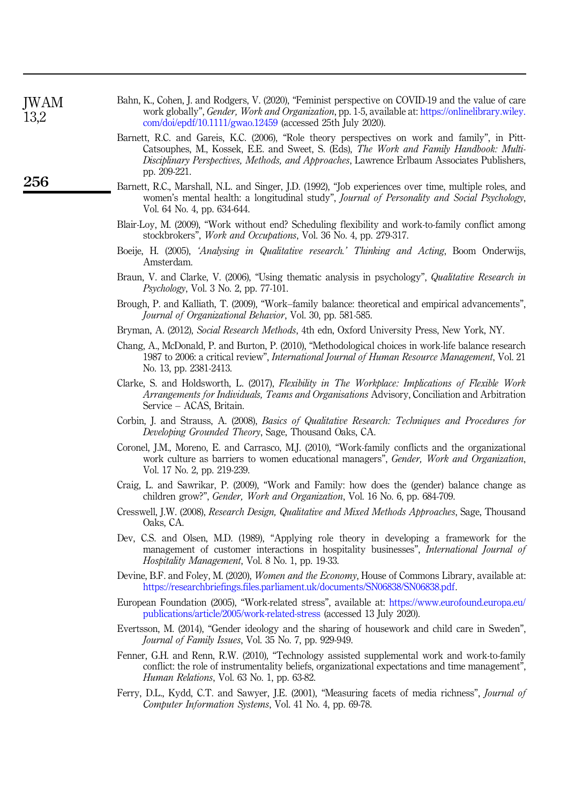<span id="page-15-19"></span><span id="page-15-17"></span><span id="page-15-16"></span><span id="page-15-13"></span><span id="page-15-12"></span><span id="page-15-11"></span><span id="page-15-10"></span><span id="page-15-6"></span><span id="page-15-4"></span><span id="page-15-1"></span>

| JWAM<br>13,2 | Bahn, K., Cohen, J. and Rodgers, V. (2020), "Feminist perspective on COVID-19 and the value of care<br>work globally", <i>Gender, Work and Organization</i> , pp. 1-5, available at: https://onlinelibrary.wiley.<br>$\frac{\text{com}}{\text{d}o}$ i/epdf/10.1111/gwao.12459 (accessed 25th July 2020). |  |  |  |  |
|--------------|----------------------------------------------------------------------------------------------------------------------------------------------------------------------------------------------------------------------------------------------------------------------------------------------------------|--|--|--|--|
|              | Barnett, R.C. and Gareis, K.C. (2006), "Role theory perspectives on work and family", in Pitt-<br>Catsouphes, M., Kossek, E.E. and Sweet, S. (Eds), The Work and Family Handbook: Multi-<br>Disciplinary Perspectives, Methods, and Approaches, Lawrence Erlbaum Associates Publishers,<br>pp. 209-221.  |  |  |  |  |
| 256          | Barnett, R.C., Marshall, N.L. and Singer, J.D. (1992), "Job experiences over time, multiple roles, and<br>women's mental health: a longitudinal study", Journal of Personality and Social Psychology,<br>Vol. 64 No. 4, pp. 634-644.                                                                     |  |  |  |  |
|              | Blair-Loy, M. (2009), "Work without end? Scheduling flexibility and work-to-family conflict among<br>stockbrokers", <i>Work and Occupations</i> , Vol. 36 No. 4, pp. 279-317.                                                                                                                            |  |  |  |  |
|              | Boeije, H. (2005), 'Analysing in Qualitative research.' Thinking and Acting, Boom Onderwijs,<br>Amsterdam.                                                                                                                                                                                               |  |  |  |  |
|              | Braun, V. and Clarke, V. (2006), "Using thematic analysis in psychology", Qualitative Research in<br>Psychology, Vol. 3 No. 2, pp. 77-101.                                                                                                                                                               |  |  |  |  |
|              | Brough, P. and Kalliath, T. (2009), "Work–family balance: theoretical and empirical advancements",<br>Journal of Organizational Behavior, Vol. 30, pp. 581-585.                                                                                                                                          |  |  |  |  |
|              | Bryman, A. (2012), Social Research Methods, 4th edn, Oxford University Press, New York, NY.                                                                                                                                                                                                              |  |  |  |  |
|              | Chang, A., McDonald, P. and Burton, P. (2010), "Methodological choices in work-life balance research<br>1987 to 2006: a critical review", <i>International Journal of Human Resource Management</i> , Vol. 21<br>No. 13, pp. 2381-2413.                                                                  |  |  |  |  |
|              | Clarke, S. and Holdsworth, L. (2017), Flexibility in The Workplace: Implications of Flexible Work<br><i>Arrangements for Individuals, Teams and Organisations Advisory, Conciliation and Arbitration</i><br>Service – ACAS, Britain.                                                                     |  |  |  |  |
|              | Corbin, J. and Strauss, A. (2008), <i>Basics of Qualitative Research: Techniques and Procedures for</i><br>Developing Grounded Theory, Sage, Thousand Oaks, CA.                                                                                                                                          |  |  |  |  |
|              | Coronel, J.M., Moreno, E. and Carrasco, M.J. (2010), "Work-family conflicts and the organizational<br>work culture as barriers to women educational managers", <i>Gender, Work and Organization</i> ,<br>Vol. 17 No. 2, pp. 219-239.                                                                     |  |  |  |  |
|              | Craig, L. and Sawrikar, P. (2009), "Work and Family: how does the (gender) balance change as<br>children grow?", <i>Gender, Work and Organization</i> , Vol. 16 No. 6, pp. 684-709.                                                                                                                      |  |  |  |  |
|              | Cresswell, J.W. (2008), <i>Research Design, Qualitative and Mixed Methods Approaches</i> , Sage, Thousand<br>Oaks, CA.                                                                                                                                                                                   |  |  |  |  |
|              | Dev, C.S. and Olsen, M.D. (1989), "Applying role theory in developing a framework for the<br>management of customer interactions in hospitality businesses", <i>International Journal of</i><br><i>Hospitality Management, Vol. 8 No. 1, pp. 19-33.</i>                                                  |  |  |  |  |
|              | Devine, B.F. and Foley, M. (2020), <i>Women and the Economy</i> , House of Commons Library, available at:<br>https://researchbriefings.files.parliament.uk/documents/SN06838/SN06838.pdf.                                                                                                                |  |  |  |  |
|              | European Foundation (2005), "Work-related stress", available at: https://www.eurofound.europa.eu/<br>publications/article/2005/work-related-stress (accessed 13 July 2020).                                                                                                                              |  |  |  |  |
|              | Evertsson, M. (2014), "Gender ideology and the sharing of housework and child care in Sweden",<br>Journal of Family Issues, Vol. 35 No. 7, pp. 929-949.                                                                                                                                                  |  |  |  |  |
|              | Fenner, G.H. and Renn, R.W. (2010), "Technology assisted supplemental work and work-to-family<br>conflict: the role of instrumentality beliefs, organizational expectations and time management",<br><i>Human Relations, Vol. 63 No. 1, pp. 63-82.</i>                                                   |  |  |  |  |
|              | $E_{\text{current}}$ DJ, $V_{\text{red}}$ , CT, and $E_{\text{current}}$ JE (9001) "Maggiung faceta of modio malgaze", Issued of                                                                                                                                                                         |  |  |  |  |

<span id="page-15-18"></span><span id="page-15-15"></span><span id="page-15-14"></span><span id="page-15-9"></span><span id="page-15-8"></span><span id="page-15-7"></span><span id="page-15-5"></span><span id="page-15-3"></span><span id="page-15-2"></span><span id="page-15-0"></span>Ferry, D.L., Kydd, C.T. and Sawyer, J.E. (2001), "Measuring facets of media richness", *Journal of* Computer Information Systems, Vol. 41 No. 4, pp. 69-78.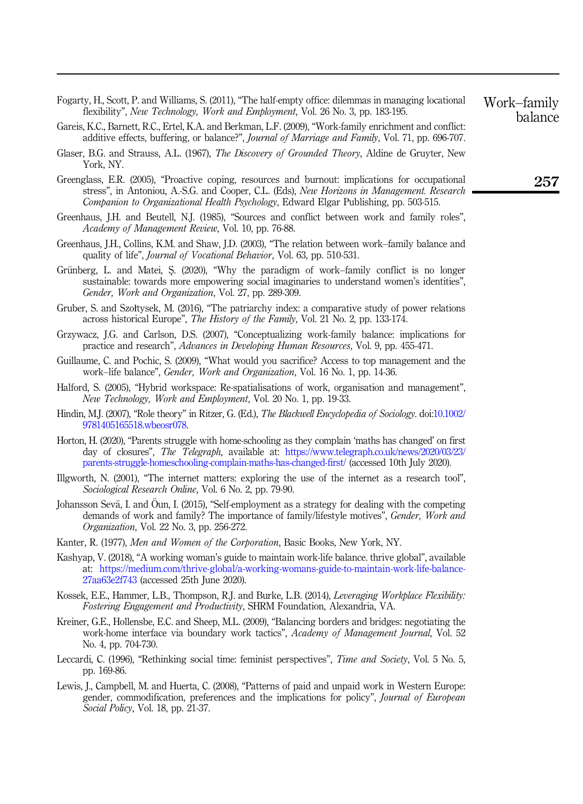- <span id="page-16-4"></span>Fogarty, H., Scott, P. and Williams, S. (2011), "The half-empty office: dilemmas in managing locational flexibility", New Technology, Work and Employment, Vol. 26 No. 3, pp. 183-195.
- <span id="page-16-16"></span>Gareis, K.C., Barnett, R.C., Ertel, K.A. and Berkman, L.F. (2009), "Work-family enrichment and conflict: additive effects, buffering, or balance?", Journal of Marriage and Family, Vol. 71, pp. 696-707.
- <span id="page-16-18"></span>Glaser, B.G. and Strauss, A.L. (1967), *The Discovery of Grounded Theory*, Aldine de Gruyter, New York, NY.
- <span id="page-16-20"></span>Greenglass, E.R. (2005), "Proactive coping, resources and burnout: implications for occupational stress", in Antoniou, A.-S.G. and Cooper, C.L. (Eds), New Horizons in Management. Research Companion to Organizational Health Psychology, Edward Elgar Publishing, pp. 503-515.
- <span id="page-16-6"></span>Greenhaus, J.H. and Beutell, N.J. (1985), "Sources and conflict between work and family roles", Academy of Management Review, Vol. 10, pp. 76-88.
- <span id="page-16-0"></span>Greenhaus, J.H., Collins, K.M. and Shaw, J.D. (2003), "The relation between work–family balance and quality of life", Journal of Vocational Behavior, Vol. 63, pp. 510-531.
- <span id="page-16-7"></span>Grünberg, L. and Matei, S. (2020), "Why the paradigm of work–family conflict is no longer sustainable: towards more empowering social imaginaries to understand women's identities", Gender, Work and Organization, Vol. 27, pp. 289-309.
- <span id="page-16-9"></span>Gruber, S. and Szołtysek, M. (2016), "The patriarchy index: a comparative study of power relations across historical Europe", The History of the Family, Vol. 21 No. 2, pp. 133-174.
- <span id="page-16-8"></span>Grzywacz, J.G. and Carlson, D.S. (2007), "Conceptualizing work-family balance: implications for practice and research", Advances in Developing Human Resources, Vol. 9, pp. 455-471.
- <span id="page-16-13"></span>Guillaume, C. and Pochic, S. (2009), "What would you sacrifice? Access to top management and the work–life balance", Gender, Work and Organization, Vol. 16 No. 1, pp. 14-36.
- <span id="page-16-3"></span>Halford, S. (2005), "Hybrid workspace: Re-spatialisations of work, organisation and management", New Technology, Work and Employment, Vol. 20 No. 1, pp. 19-33.
- <span id="page-16-14"></span>Hindin, M.J. (2007), "Role theory" in Ritzer, G. (Ed.), *The Blackwell Encyclopedia of Sociology*. doi[:10.1002/](https://doi.org/10.1002/9781405165518.wbeosr078) [9781405165518.wbeosr078.](https://doi.org/10.1002/9781405165518.wbeosr078)
- <span id="page-16-19"></span>Horton, H. (2020), "Parents struggle with home-schooling as they complain 'maths has changed' on first day of closures", The Telegraph, available at: [https://www.telegraph.co.uk/news/2020/03/23/](https://www.telegraph.co.uk/news/2020/03/23/parents-struggle-homeschooling-complain-maths-has-changed-first/) [parents-struggle-homeschooling-complain-maths-has-changed-first/](https://www.telegraph.co.uk/news/2020/03/23/parents-struggle-homeschooling-complain-maths-has-changed-first/) (accessed 10th July 2020).
- <span id="page-16-17"></span>Illgworth, N. (2001), "The internet matters: exploring the use of the internet as a research tool", Sociological Research Online, Vol. 6 No. 2, pp. 79-90.
- <span id="page-16-10"></span>Johansson Sevä, I. and Öun, I. (2015), "Self-employment as a strategy for dealing with the competing demands of work and family? The importance of family/lifestyle motives", Gender, Work and Organization, Vol. 22 No. 3, pp. 256-272.
- <span id="page-16-15"></span>Kanter, R. (1977), Men and Women of the Corporation, Basic Books, New York, NY.
- <span id="page-16-2"></span>Kashyap, V. (2018), "A working woman's guide to maintain work-life balance. thrive global", available at: [https://medium.com/thrive-global/a-working-womans-guide-to-maintain-work-life-balance-](https://medium.com/thrive-global/a-working-womans-guide-to-maintain-work-life-balance-27aa63e2f743)[27aa63e2f743](https://medium.com/thrive-global/a-working-womans-guide-to-maintain-work-life-balance-27aa63e2f743) (accessed 25th June 2020).
- <span id="page-16-5"></span>Kossek, E.E., Hammer, L.B., Thompson, R.J. and Burke, L.B. (2014), Leveraging Workplace Flexibility: Fostering Engagement and Productivity, SHRM Foundation, Alexandria, VA.
- <span id="page-16-1"></span>Kreiner, G.E., Hollensbe, E.C. and Sheep, M.L. (2009), "Balancing borders and bridges: negotiating the work-home interface via boundary work tactics", Academy of Management Journal, Vol. 52 No. 4, pp. 704-730.
- <span id="page-16-11"></span>Leccardi, C. (1996), "Rethinking social time: feminist perspectives", *Time and Society*, Vol. 5 No. 5, pp. 169-86.
- <span id="page-16-12"></span>Lewis, J., Campbell, M. and Huerta, C. (2008), "Patterns of paid and unpaid work in Western Europe: gender, commodification, preferences and the implications for policy", Journal of European Social Policy, Vol. 18, pp. 21-37.

Work–family balance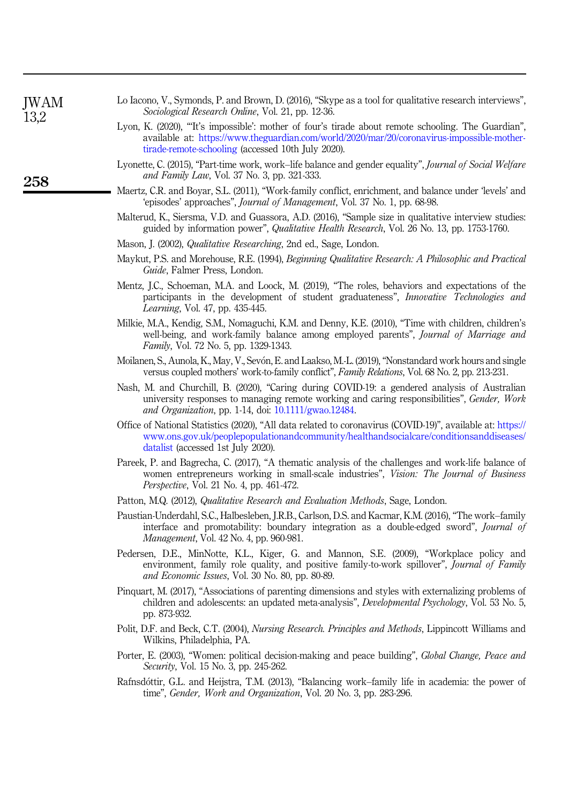<span id="page-17-14"></span>

| Lo Iacono, V., Symonds, P. and Brown, D. (2016), "Skype as a tool for qualitative research interviews", |  |
|---------------------------------------------------------------------------------------------------------|--|
| <i>Sociological Research Online, Vol. 21, pp. 12-36.</i>                                                |  |

- <span id="page-17-17"></span>Lyon, K. (2020), "'It's impossible': mother of four's tirade about remote schooling. The Guardian", available at: [https://www.theguardian.com/world/2020/mar/20/coronavirus-impossible-mother](https://www.theguardian.com/world/2020/mar/20/coronavirus-impossible-mother-tirade-remote-schooling)[tirade-remote-schooling](https://www.theguardian.com/world/2020/mar/20/coronavirus-impossible-mother-tirade-remote-schooling) (accessed 10th July 2020).
- <span id="page-17-6"></span>Lyonette, C. (2015), "Part-time work, work–life balance and gender equality", *Journal of Social Welfare* and Family Law, Vol. 37 No. 3, pp. 321-333.
- <span id="page-17-1"></span>Maertz, C.R. and Boyar, S.L. (2011), "Work-family conflict, enrichment, and balance under 'levels' and 'episodes' approaches", Journal of Management, Vol. 37 No. 1, pp. 68-98.
- <span id="page-17-19"></span>Malterud, K., Siersma, V.D. and Guassora, A.D. (2016), "Sample size in qualitative interview studies: guided by information power", Qualitative Health Research, Vol. 26 No. 13, pp. 1753-1760.
- <span id="page-17-11"></span>Mason, J. (2002), *Qualitative Researching*, 2nd ed., Sage, London.
- <span id="page-17-12"></span>Maykut, P.S. and Morehouse, R.E. (1994), Beginning Qualitative Research: A Philosophic and Practical Guide, Falmer Press, London.
- <span id="page-17-8"></span>Mentz, J.C., Schoeman, M.A. and Loock, M. (2019), "The roles, behaviors and expectations of the participants in the development of student graduateness", Innovative Technologies and Learning, Vol. 47, pp. 435-445.
- <span id="page-17-7"></span>Milkie, M.A., Kendig, S.M., Nomaguchi, K.M. and Denny, K.E. (2010), "Time with children, children's well-being, and work-family balance among employed parents", *Journal of Marriage and* Family, Vol. 72 No. 5, pp. 1329-1343.
- <span id="page-17-5"></span>Moilanen, S., Aunola, K., May, V., Sevón, E. and Laakso, M.-L. (2019), "Nonstandard work hours and single versus coupled mothers' work-to-family conflict", Family Relations, Vol. 68 No. 2, pp. 213-231.
- <span id="page-17-10"></span>Nash, M. and Churchill, B. (2020), "Caring during COVID-19: a gendered analysis of Australian university responses to managing remote working and caring responsibilities", Gender, Work and Organization, pp. 1-14, doi: [10.1111/gwao.12484.](https://doi.org/10.1111/gwao.12484)
- <span id="page-17-0"></span>Office of National Statistics (2020), "All data related to coronavirus (COVID-19)", available at: [https://](https://www.ons.gov.uk/peoplepopulationandcommunity/healthandsocialcare/conditionsanddiseases/datalist) [www.ons.gov.uk/peoplepopulationandcommunity/healthandsocialcare/conditionsanddiseases/](https://www.ons.gov.uk/peoplepopulationandcommunity/healthandsocialcare/conditionsanddiseases/datalist) [datalist](https://www.ons.gov.uk/peoplepopulationandcommunity/healthandsocialcare/conditionsanddiseases/datalist) (accessed 1st July 2020).
- <span id="page-17-4"></span>Pareek, P. and Bagrecha, C. (2017), "A thematic analysis of the challenges and work-life balance of women entrepreneurs working in small-scale industries", Vision: The Journal of Business Perspective, Vol. 21 No. 4, pp. 461-472.
- <span id="page-17-13"></span>Patton, M.Q. (2012), Qualitative Research and Evaluation Methods, Sage, London.
- <span id="page-17-3"></span>Paustian-Underdahl, S.C., Halbesleben, J.R.B., Carlson, D.S. and Kacmar, K.M. (2016), "The work–family interface and promotability: boundary integration as a double-edged sword", Journal of Management, Vol. 42 No. 4, pp. 960-981.
- <span id="page-17-9"></span>Pedersen, D.E., MinNotte, K.L., Kiger, G. and Mannon, S.E. (2009), "Workplace policy and environment, family role quality, and positive family-to-work spillover", *Journal of Family* and Economic Issues, Vol. 30 No. 80, pp. 80-89.
- <span id="page-17-18"></span>Pinquart, M. (2017), "Associations of parenting dimensions and styles with externalizing problems of children and adolescents: an updated meta-analysis", *Developmental Psychology*, Vol. 53 No. 5, pp. 873-932.
- <span id="page-17-15"></span>Polit, D.F. and Beck, C.T. (2004), *Nursing Research. Principles and Methods*, Lippincott Williams and Wilkins, Philadelphia, PA.
- <span id="page-17-16"></span>Porter, E. (2003), "Women: political decision-making and peace building", Global Change, Peace and Security, Vol. 15 No. 3, pp. 245-262.
- <span id="page-17-2"></span>Rafnsdottir, G.L. and Heijstra, T.M. (2013), "Balancing work–family life in academia: the power of time", Gender, Work and Organization, Vol. 20 No. 3, pp. 283-296.

**IWAM** 13,2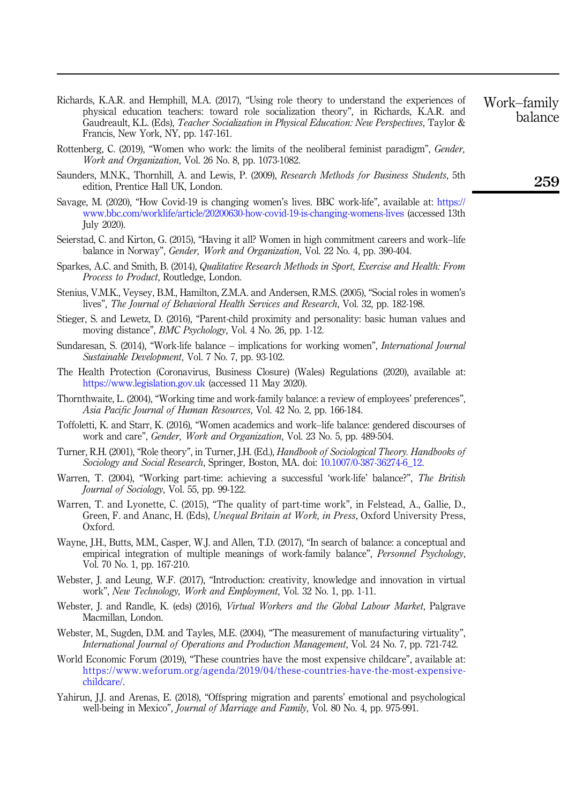- <span id="page-18-14"></span>Richards, K.A.R. and Hemphill, M.A. (2017), "Using role theory to understand the experiences of physical education teachers: toward role socialization theory", in Richards, K.A.R. and Gaudreault, K.L. (Eds), Teacher Socialization in Physical Education: New Perspectives, Taylor & Francis, New York, NY, pp. 147-161.
- <span id="page-18-12"></span>Rottenberg, C. (2019), "Women who work: the limits of the neoliberal feminist paradigm", Gender, Work and Organization, Vol. 26 No. 8, pp. 1073-1082.
- <span id="page-18-15"></span>Saunders, M.N.K., Thornhill, A. and Lewis, P. (2009), Research Methods for Business Students, 5th edition, Prentice Hall UK, London.
- <span id="page-18-19"></span>Savage, M. (2020), "How Covid-19 is changing women's lives. BBC work-life", available at: [https://](https://www.bbc.com/worklife/article/20200630-how-covid-19-is-changing-womens-lives) [www.bbc.com/worklife/article/20200630-how-covid-19-is-changing-womens-lives](https://www.bbc.com/worklife/article/20200630-how-covid-19-is-changing-womens-lives) (accessed 13th July 2020).
- <span id="page-18-5"></span>Seierstad, C. and Kirton, G. (2015), "Having it all? Women in high commitment careers and work–life balance in Norway", Gender, Work and Organization, Vol. 22 No. 4, pp. 390-404.
- <span id="page-18-16"></span>Sparkes, A.C. and Smith, B. (2014), Qualitative Research Methods in Sport, Exercise and Health: From Process to Product, Routledge, London.
- <span id="page-18-20"></span>Stenius, V.M.K., Veysey, B.M., Hamilton, Z.M.A. and Andersen, R.M.S. (2005), "Social roles in women's lives", The Journal of Behavioral Health Services and Research, Vol. 32, pp. 182-198.
- <span id="page-18-17"></span>Stieger, S. and Lewetz, D. (2016), "Parent-child proximity and personality: basic human values and moving distance", BMC Psychology, Vol. 4 No. 26, pp. 1-12.
- <span id="page-18-0"></span>Sundaresan, S. (2014), "Work-life balance – implications for working women", *International Journal* Sustainable Development, Vol. 7 No. 7, pp. 93-102.
- <span id="page-18-1"></span>The Health Protection (Coronavirus, Business Closure) (Wales) Regulations (2020), available at: <https://www.legislation.gov.uk> (accessed 11 May 2020).
- <span id="page-18-7"></span>Thornthwaite, L. (2004), "Working time and work-family balance: a review of employees' preferences", Asia Pacific Journal of Human Resources, Vol. 42 No. 2, pp. 166-184.
- <span id="page-18-6"></span>Toffoletti, K. and Starr, K. (2016), "Women academics and work–life balance: gendered discourses of work and care", Gender, Work and Organization, Vol. 23 No. 5, pp. 489-504.
- <span id="page-18-13"></span>Turner, R.H. (2001), "Role theory", in Turner, J.H. (Ed.), Handbook of Sociological Theory. Handbooks of Sociology and Social Research, Springer, Boston, MA. doi: [10.1007/0-387-36274-6\\_12](https://doi.org/10.1007/0-387-36274-6_12).
- <span id="page-18-9"></span>Warren, T. (2004), "Working part-time: achieving a successful 'work-life' balance?", The British Journal of Sociology, Vol. 55, pp. 99-122.
- <span id="page-18-11"></span>Warren, T. and Lyonette, C. (2015), "The quality of part-time work", in Felstead, A., Gallie, D., Green, F. and Ananc, H. (Eds), Unequal Britain at Work, in Press, Oxford University Press, Oxford.
- <span id="page-18-8"></span>Wayne, J.H., Butts, M.M., Casper, W.J. and Allen, T.D. (2017), "In search of balance: a conceptual and empirical integration of multiple meanings of work-family balance", Personnel Psychology, Vol. 70 No. 1, pp. 167-210.
- <span id="page-18-2"></span>Webster, J. and Leung, W.F. (2017), "Introduction: creativity, knowledge and innovation in virtual work", New Technology, Work and Employment, Vol. 32 No. 1, pp. 1-11.
- <span id="page-18-3"></span>Webster, J. and Randle, K. (eds) (2016), Virtual Workers and the Global Labour Market, Palgrave Macmillan, London.
- <span id="page-18-4"></span>Webster, M., Sugden, D.M. and Tayles, M.E. (2004), "The measurement of manufacturing virtuality", International Journal of Operations and Production Management, Vol. 24 No. 7, pp. 721-742.
- <span id="page-18-10"></span>World Economic Forum (2019), "These countries have the most expensive childcare", available at: [https://www.weforum.org/agenda/2019/04/these-countries-have-the-most-expensive](https://www.weforum.org/agenda/2019/04/these-countries-have-the-most-expensive-childcare/)[childcare/.](https://www.weforum.org/agenda/2019/04/these-countries-have-the-most-expensive-childcare/)
- <span id="page-18-18"></span>Yahirun, J.J. and Arenas, E. (2018), "Offspring migration and parents' emotional and psychological well-being in Mexico", Journal of Marriage and Family, Vol. 80 No. 4, pp. 975-991.

259

Work–family balance